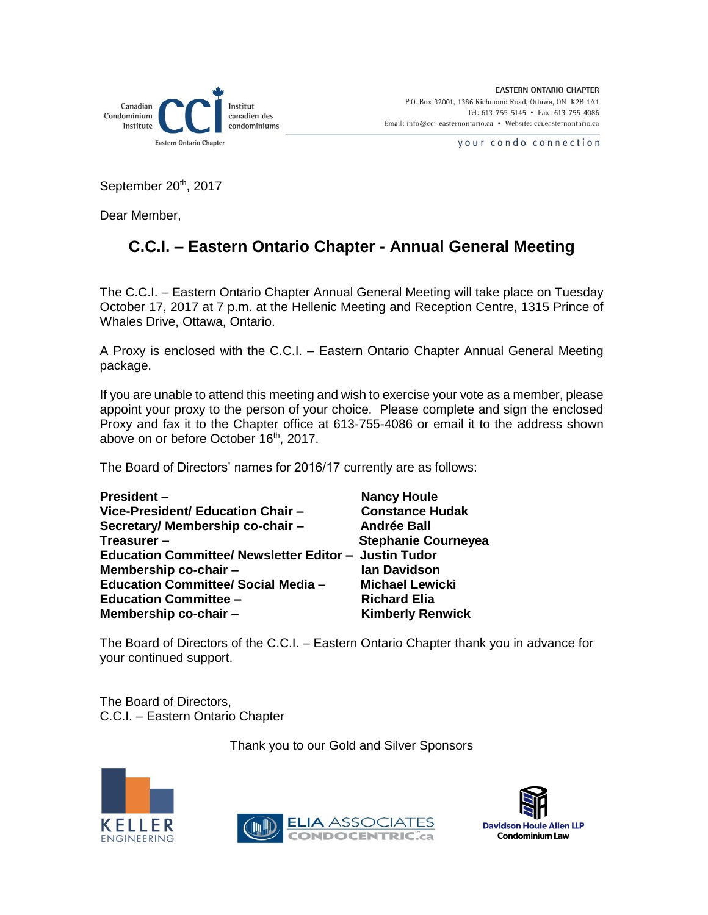

your condo connection

September 20<sup>th</sup>, 2017

Dear Member,

### **C.C.I. – Eastern Ontario Chapter - Annual General Meeting**

The C.C.I. – Eastern Ontario Chapter Annual General Meeting will take place on Tuesday October 17, 2017 at 7 p.m. at the Hellenic Meeting and Reception Centre, 1315 Prince of Whales Drive, Ottawa, Ontario.

A Proxy is enclosed with the C.C.I. – Eastern Ontario Chapter Annual General Meeting package.

If you are unable to attend this meeting and wish to exercise your vote as a member, please appoint your proxy to the person of your choice. Please complete and sign the enclosed Proxy and fax it to the Chapter office at 613-755-4086 or email it to the address shown above on or before October 16<sup>th</sup>, 2017.

The Board of Directors' names for 2016/17 currently are as follows:

| <b>President -</b>                                    | <b>Nancy Houle</b>         |
|-------------------------------------------------------|----------------------------|
| Vice-President/ Education Chair -                     | <b>Constance Hudak</b>     |
| Secretary/ Membership co-chair -                      | <b>Andrée Ball</b>         |
| Treasurer-                                            | <b>Stephanie Courneyea</b> |
| Education Committee/ Newsletter Editor - Justin Tudor |                            |
| Membership co-chair -                                 | <b>Ian Davidson</b>        |
| <b>Education Committee/ Social Media -</b>            | <b>Michael Lewicki</b>     |
| <b>Education Committee -</b>                          | <b>Richard Elia</b>        |
| Membership co-chair -                                 | <b>Kimberly Renwick</b>    |

The Board of Directors of the C.C.I. – Eastern Ontario Chapter thank you in advance for your continued support.

The Board of Directors, C.C.I. – Eastern Ontario Chapter

Thank you to our Gold and Silver Sponsors





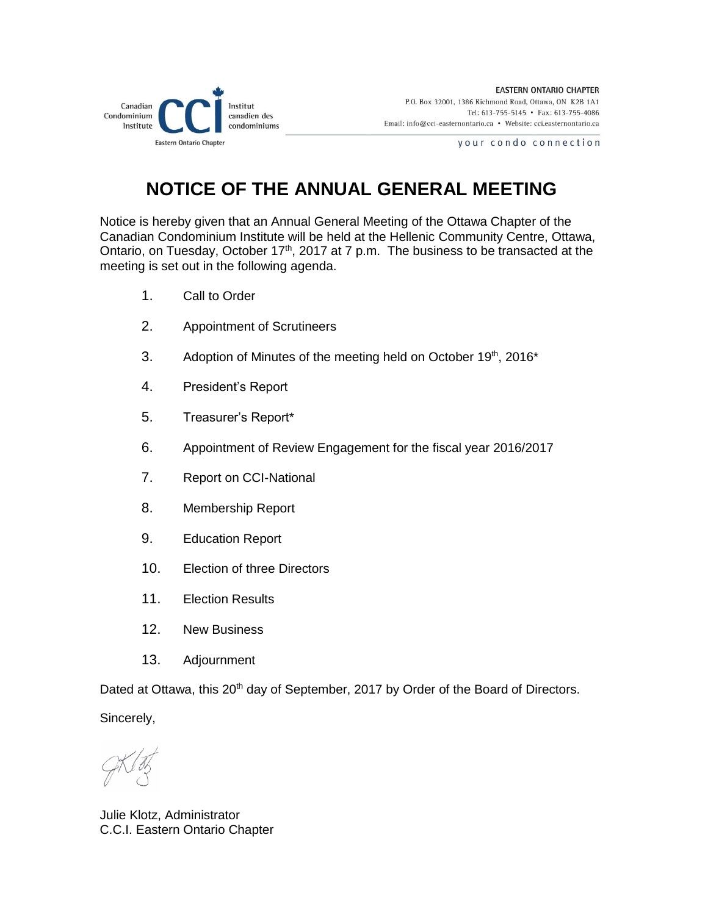

your condo connection

## **NOTICE OF THE ANNUAL GENERAL MEETING**

Notice is hereby given that an Annual General Meeting of the Ottawa Chapter of the Canadian Condominium Institute will be held at the Hellenic Community Centre, Ottawa, Ontario, on Tuesday, October  $17<sup>th</sup>$ , 2017 at 7 p.m. The business to be transacted at the meeting is set out in the following agenda.

- 1. Call to Order
- 2. Appointment of Scrutineers
- 3. Adoption of Minutes of the meeting held on October 19th, 2016\*
- 4. President's Report
- 5. Treasurer's Report\*
- 6. Appointment of Review Engagement for the fiscal year 2016/2017
- 7. Report on CCI-National
- 8. Membership Report
- 9. Education Report
- 10. Election of three Directors
- 11. Election Results
- 12. New Business
- 13. Adjournment

Dated at Ottawa, this 20<sup>th</sup> day of September, 2017 by Order of the Board of Directors.

Sincerely,

Julie Klotz, Administrator C.C.I. Eastern Ontario Chapter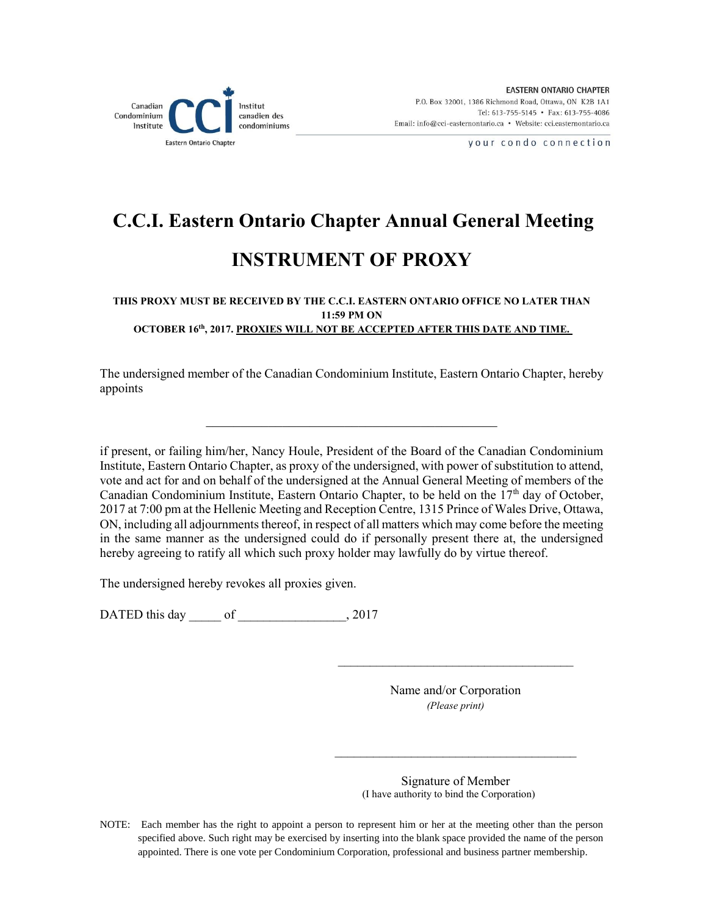

your condo connection

# **C.C.I. Eastern Ontario Chapter Annual General Meeting INSTRUMENT OF PROXY**

#### **THIS PROXY MUST BE RECEIVED BY THE C.C.I. EASTERN ONTARIO OFFICE NO LATER THAN 11:59 PM ON OCTOBER 16th, 2017. PROXIES WILL NOT BE ACCEPTED AFTER THIS DATE AND TIME.**

The undersigned member of the Canadian Condominium Institute, Eastern Ontario Chapter, hereby appoints

if present, or failing him/her, Nancy Houle, President of the Board of the Canadian Condominium Institute, Eastern Ontario Chapter, as proxy of the undersigned, with power of substitution to attend, vote and act for and on behalf of the undersigned at the Annual General Meeting of members of the Canadian Condominium Institute, Eastern Ontario Chapter, to be held on the  $17<sup>th</sup>$  day of October, 2017 at 7:00 pm at the Hellenic Meeting and Reception Centre, 1315 Prince of Wales Drive, Ottawa, ON, including all adjournments thereof, in respect of all matters which may come before the meeting in the same manner as the undersigned could do if personally present there at, the undersigned hereby agreeing to ratify all which such proxy holder may lawfully do by virtue thereof.

The undersigned hereby revokes all proxies given.

DATED this day of , 2017

Name and/or Corporation *(Please print)* 

 $\overline{\phantom{a}}$  , where  $\overline{\phantom{a}}$  , where  $\overline{\phantom{a}}$  , where  $\overline{\phantom{a}}$  , where  $\overline{\phantom{a}}$ 

 $\mathcal{L}_\text{max}$ 

Signature of Member (I have authority to bind the Corporation)

NOTE: Each member has the right to appoint a person to represent him or her at the meeting other than the person specified above. Such right may be exercised by inserting into the blank space provided the name of the person appointed. There is one vote per Condominium Corporation, professional and business partner membership.